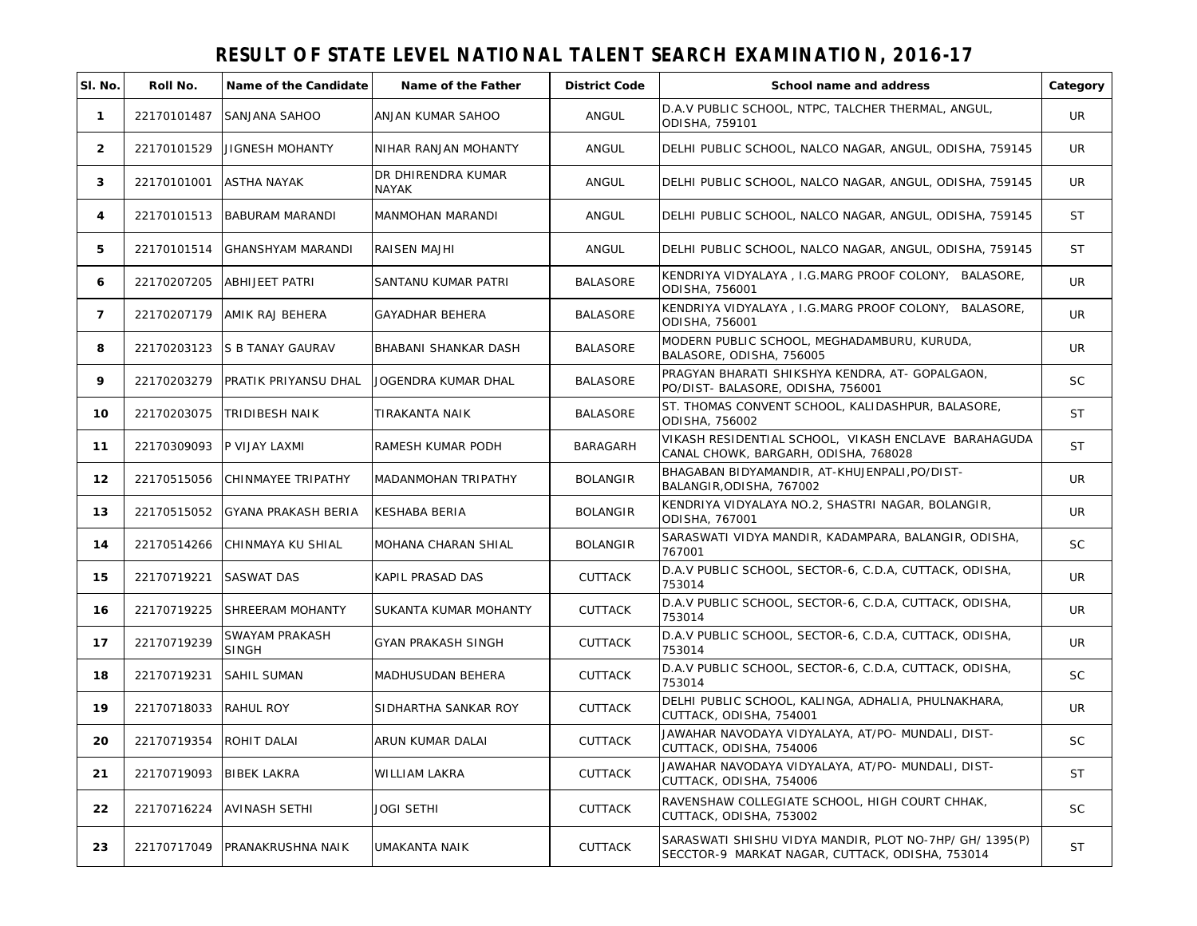| SI. No.        | Roll No.                  | Name of the Candidate          | Name of the Father          | <b>District Code</b> | School name and address                                                                                    | Category  |
|----------------|---------------------------|--------------------------------|-----------------------------|----------------------|------------------------------------------------------------------------------------------------------------|-----------|
| $\mathbf{1}$   | 22170101487               | SANJANA SAHOO                  | ANJAN KUMAR SAHOO           | ANGUL                | D.A.V PUBLIC SCHOOL, NTPC, TALCHER THERMAL, ANGUL,<br>ODISHA, 759101                                       | UR.       |
| $\overline{2}$ | 22170101529               | JIGNESH MOHANTY                | NIHAR RANJAN MOHANTY        | ANGUL                | DELHI PUBLIC SCHOOL, NALCO NAGAR, ANGUL, ODISHA, 759145                                                    | UR.       |
| 3              | 22170101001               | ASTHA NAYAK                    | DR DHIRENDRA KUMAR<br>NAYAK | ANGUL                | DELHI PUBLIC SCHOOL, NALCO NAGAR, ANGUL, ODISHA, 759145                                                    | UR.       |
| 4              | 22170101513               | <b>BABURAM MARANDI</b>         | MANMOHAN MARANDI            | ANGUL                | DELHI PUBLIC SCHOOL, NALCO NAGAR, ANGUL, ODISHA, 759145                                                    | <b>ST</b> |
| 5              | 22170101514               | <b>GHANSHYAM MARANDI</b>       | <b>RAISEN MAJHI</b>         | ANGUL                | DELHI PUBLIC SCHOOL, NALCO NAGAR, ANGUL, ODISHA, 759145                                                    | ST        |
| 6              | 22170207205               | <b>ABHIJEET PATRI</b>          | SANTANU KUMAR PATRI         | BALASORE             | KENDRIYA VIDYALAYA, I.G.MARG PROOF COLONY, BALASORE,<br>ODISHA, 756001                                     | <b>UR</b> |
| $\overline{7}$ | 22170207179               | AMIK RAJ BEHERA                | <b>GAYADHAR BEHERA</b>      | <b>BALASORE</b>      | KENDRIYA VIDYALAYA, I.G.MARG PROOF COLONY, BALASORE,<br>ODISHA, 756001                                     | UR        |
| 8              | 22170203123               | <b>S B TANAY GAURAV</b>        | BHABANI SHANKAR DASH        | <b>BALASORE</b>      | MODERN PUBLIC SCHOOL, MEGHADAMBURU, KURUDA,<br>BALASORE, ODISHA, 756005                                    | <b>UR</b> |
| 9              | 22170203279               | <b>PRATIK PRIYANSU DHAL</b>    | JOGENDRA KUMAR DHAL         | <b>BALASORE</b>      | PRAGYAN BHARATI SHIKSHYA KENDRA, AT- GOPALGAON,<br>PO/DIST- BALASORE, ODISHA, 756001                       | <b>SC</b> |
| 10             | 22170203075               | TRIDIBESH NAIK                 | TIRAKANTA NAIK              | <b>BALASORE</b>      | ST. THOMAS CONVENT SCHOOL, KALIDASHPUR, BALASORE,<br>ODISHA, 756002                                        | <b>ST</b> |
| 11             | 22170309093 P VIJAY LAXMI |                                | RAMESH KUMAR PODH           | BARAGARH             | VIKASH RESIDENTIAL SCHOOL, VIKASH ENCLAVE BARAHAGUDA<br>CANAL CHOWK, BARGARH, ODISHA, 768028               | ST        |
| 12             | 22170515056               | CHINMAYEE TRIPATHY             | <b>MADANMOHAN TRIPATHY</b>  | <b>BOLANGIR</b>      | BHAGABAN BIDYAMANDIR, AT-KHUJENPALI, PO/DIST-<br>BALANGIR, ODISHA, 767002                                  | UR        |
| 13             | 22170515052               | <b>GYANA PRAKASH BERIA</b>     | KESHABA BERIA               | <b>BOLANGIR</b>      | KENDRIYA VIDYALAYA NO.2, SHASTRI NAGAR, BOLANGIR,<br>ODISHA, 767001                                        | UR.       |
| 14             | 22170514266               | CHINMAYA KU SHIAL              | MOHANA CHARAN SHIAL         | <b>BOLANGIR</b>      | SARASWATI VIDYA MANDIR, KADAMPARA, BALANGIR, ODISHA,<br>767001                                             | <b>SC</b> |
| 15             | 22170719221               | <b>SASWAT DAS</b>              | KAPIL PRASAD DAS            | <b>CUTTACK</b>       | D.A.V PUBLIC SCHOOL, SECTOR-6, C.D.A, CUTTACK, ODISHA,<br>753014                                           | <b>UR</b> |
| 16             | 22170719225               | SHREERAM MOHANTY               | SUKANTA KUMAR MOHANTY       | <b>CUTTACK</b>       | D.A.V PUBLIC SCHOOL, SECTOR-6, C.D.A, CUTTACK, ODISHA,<br>753014                                           | UR        |
| 17             | 22170719239               | SWAYAM PRAKASH<br><b>SINGH</b> | <b>GYAN PRAKASH SINGH</b>   | <b>CUTTACK</b>       | D.A.V PUBLIC SCHOOL, SECTOR-6, C.D.A, CUTTACK, ODISHA,<br>753014                                           | UR        |
| 18             | 22170719231               | SAHIL SUMAN                    | MADHUSUDAN BEHERA           | <b>CUTTACK</b>       | D.A.V PUBLIC SCHOOL, SECTOR-6, C.D.A, CUTTACK, ODISHA,<br>753014                                           | <b>SC</b> |
| 19             | 22170718033 RAHUL ROY     |                                | SIDHARTHA SANKAR ROY        | <b>CUTTACK</b>       | DELHI PUBLIC SCHOOL, KALINGA, ADHALIA, PHULNAKHARA,<br>CUTTACK, ODISHA, 754001                             | <b>UR</b> |
| 20             | 22170719354 ROHIT DALAI   |                                | ARUN KUMAR DALAI            | <b>CUTTACK</b>       | JAWAHAR NAVODAYA VIDYALAYA, AT/PO- MUNDALI, DIST-<br>CUTTACK, ODISHA, 754006                               | <b>SC</b> |
| 21             | 22170719093               | <b>BIBEK LAKRA</b>             | WILLIAM LAKRA               | <b>CUTTACK</b>       | JAWAHAR NAVODAYA VIDYALAYA, AT/PO- MUNDALI, DIST-<br>CUTTACK, ODISHA, 754006                               | <b>ST</b> |
| 22             | 22170716224               | <b>AVINASH SETHI</b>           | JOGI SETHI                  | <b>CUTTACK</b>       | RAVENSHAW COLLEGIATE SCHOOL, HIGH COURT CHHAK,<br>CUTTACK, ODISHA, 753002                                  | <b>SC</b> |
| 23             | 22170717049               | PRANAKRUSHNA NAIK              | UMAKANTA NAIK               | <b>CUTTACK</b>       | SARASWATI SHISHU VIDYA MANDIR, PLOT NO-7HP/ GH/ 1395(P)<br>SECCTOR-9 MARKAT NAGAR, CUTTACK, ODISHA, 753014 | <b>ST</b> |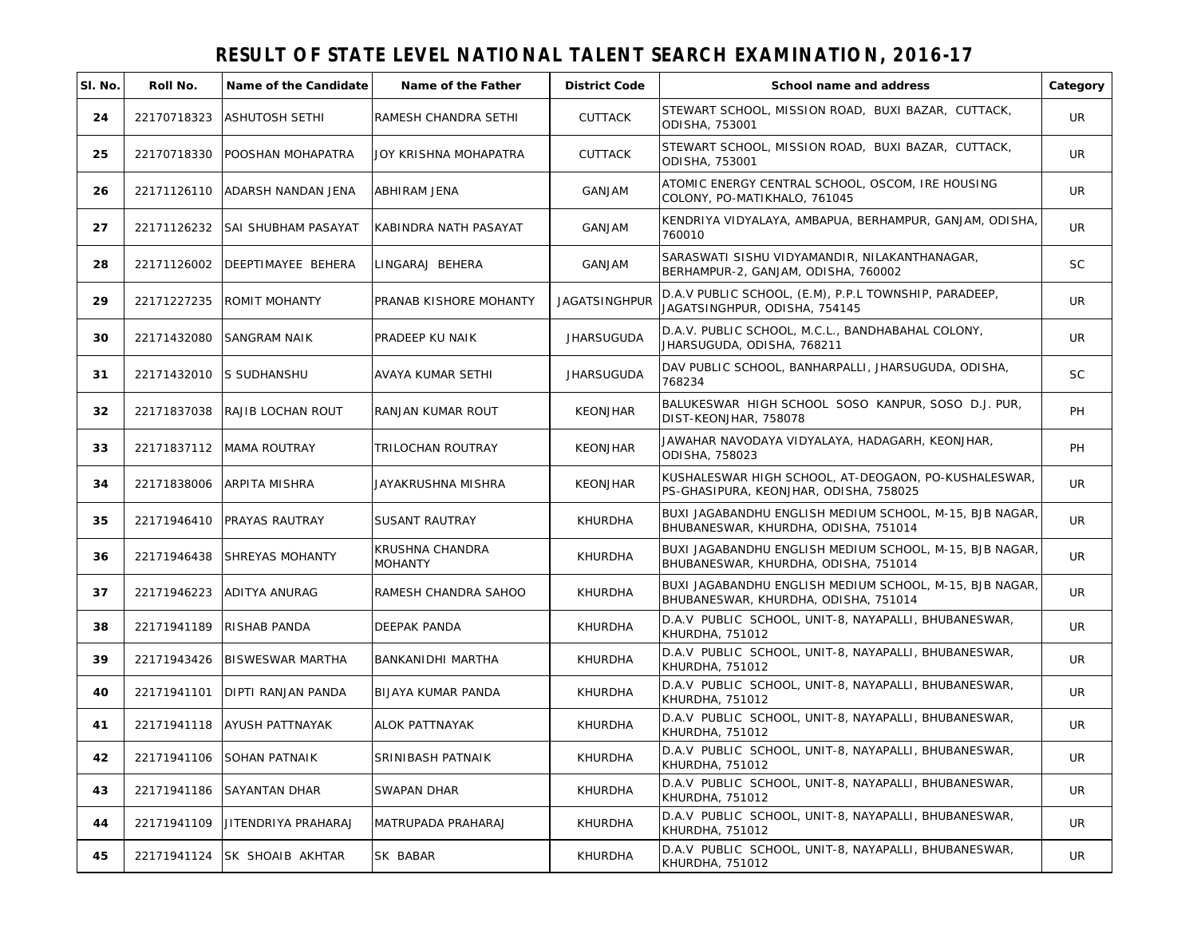| SI. No. | Roll No.                | Name of the Candidate          | Name of the Father         | <b>District Code</b> | School name and address                                                                         | Category  |
|---------|-------------------------|--------------------------------|----------------------------|----------------------|-------------------------------------------------------------------------------------------------|-----------|
| 24      | 22170718323             | <b>ASHUTOSH SETHI</b>          | RAMESH CHANDRA SETHI       | <b>CUTTACK</b>       | STEWART SCHOOL, MISSION ROAD, BUXI BAZAR, CUTTACK,<br>ODISHA, 753001                            | UR        |
| 25      | 22170718330             | POOSHAN MOHAPATRA              | JOY KRISHNA MOHAPATRA      | <b>CUTTACK</b>       | STEWART SCHOOL, MISSION ROAD, BUXI BAZAR, CUTTACK,<br>ODISHA, 753001                            | UR        |
| 26      |                         | 22171126110 ADARSH NANDAN JENA | <b>ABHIRAM JENA</b>        | GANJAM               | ATOMIC ENERGY CENTRAL SCHOOL, OSCOM, IRE HOUSING<br>COLONY, PO-MATIKHALO, 761045                | UR        |
| 27      | 22171126232             | <b>SAI SHUBHAM PASAYAT</b>     | KABINDRA NATH PASAYAT      | GANJAM               | KENDRIYA VIDYALAYA, AMBAPUA, BERHAMPUR, GANJAM, ODISHA,<br>760010                               | <b>UR</b> |
| 28      | 22171126002             | DEEPTIMAYEE BEHERA             | LINGARAJ BEHERA            | GANJAM               | SARASWATI SISHU VIDYAMANDIR, NILAKANTHANAGAR,<br>BERHAMPUR-2, GANJAM, ODISHA, 760002            | <b>SC</b> |
| 29      | 22171227235             | <b>ROMIT MOHANTY</b>           | PRANAB KISHORE MOHANTY     | <b>JAGATSINGHPUR</b> | D.A.V PUBLIC SCHOOL, (E.M), P.P.L TOWNSHIP, PARADEEP,<br>JAGATSINGHPUR, ODISHA, 754145          | UR        |
| 30      | 22171432080             | SANGRAM NAIK                   | PRADEEP KU NAIK            | <b>JHARSUGUDA</b>    | D.A.V. PUBLIC SCHOOL, M.C.L., BANDHABAHAL COLONY,<br>JHARSUGUDA, ODISHA, 768211                 | UR        |
| 31      | 22171432010 S SUDHANSHU |                                | AVAYA KUMAR SETHI          | <b>JHARSUGUDA</b>    | DAV PUBLIC SCHOOL, BANHARPALLI, JHARSUGUDA, ODISHA,<br>768234                                   | <b>SC</b> |
| 32      | 22171837038             | RAJIB LOCHAN ROUT              | RANJAN KUMAR ROUT          | <b>KEONJHAR</b>      | BALUKESWAR HIGH SCHOOL SOSO KANPUR, SOSO D.J. PUR,<br>DIST-KEONJHAR, 758078                     | PH        |
| 33      |                         | 22171837112   MAMA ROUTRAY     | TRILOCHAN ROUTRAY          | <b>KEONJHAR</b>      | JAWAHAR NAVODAYA VIDYALAYA, HADAGARH, KEONJHAR,<br>ODISHA, 758023                               | PH        |
| 34      | 22171838006             | ARPITA MISHRA                  | JAYAKRUSHNA MISHRA         | <b>KEONJHAR</b>      | KUSHALESWAR HIGH SCHOOL, AT-DEOGAON, PO-KUSHALESWAR,<br>PS-GHASIPURA, KEONJHAR, ODISHA, 758025  | <b>UR</b> |
| 35      | 22171946410             | PRAYAS RAUTRAY                 | SUSANT RAUTRAY             | KHURDHA              | BUXI JAGABANDHU ENGLISH MEDIUM SCHOOL, M-15, BJB NAGAR,<br>BHUBANESWAR, KHURDHA, ODISHA, 751014 | <b>UR</b> |
| 36      | 22171946438             | <b>SHREYAS MOHANTY</b>         | KRUSHNA CHANDRA<br>MOHANTY | KHURDHA              | BUXI JAGABANDHU ENGLISH MEDIUM SCHOOL, M-15, BJB NAGAR,<br>BHUBANESWAR, KHURDHA, ODISHA, 751014 | <b>UR</b> |
| 37      | 22171946223             | <b>ADITYA ANURAG</b>           | RAMESH CHANDRA SAHOO       | KHURDHA              | BUXI JAGABANDHU ENGLISH MEDIUM SCHOOL, M-15, BJB NAGAR,<br>BHUBANESWAR, KHURDHA, ODISHA, 751014 | <b>UR</b> |
| 38      | 22171941189             | <b>RISHAB PANDA</b>            | DEEPAK PANDA               | <b>KHURDHA</b>       | D.A.V PUBLIC SCHOOL, UNIT-8, NAYAPALLI, BHUBANESWAR,<br>KHURDHA, 751012                         | <b>UR</b> |
| 39      | 22171943426             | <b>BISWESWAR MARTHA</b>        | <b>BANKANIDHI MARTHA</b>   | <b>KHURDHA</b>       | D.A.V PUBLIC SCHOOL, UNIT-8, NAYAPALLI, BHUBANESWAR,<br>KHURDHA, 751012                         | UR        |
| 40      | 22171941101             | DIPTI RANJAN PANDA             | <b>BIJAYA KUMAR PANDA</b>  | KHURDHA              | D.A.V PUBLIC SCHOOL, UNIT-8, NAYAPALLI, BHUBANESWAR,<br>KHURDHA, 751012                         | <b>UR</b> |
| 41      |                         | 22171941118 AYUSH PATTNAYAK    | <b>ALOK PATTNAYAK</b>      | <b>KHURDHA</b>       | D.A.V PUBLIC SCHOOL, UNIT-8, NAYAPALLI, BHUBANESWAR,<br>KHURDHA, 751012                         | UR        |
| 42      | 22171941106             | <b>SOHAN PATNAIK</b>           | SRINIBASH PATNAIK          | KHURDHA              | D.A.V PUBLIC SCHOOL, UNIT-8, NAYAPALLI, BHUBANESWAR,<br>KHURDHA, 751012                         | UR        |
| 43      | 22171941186             | SAYANTAN DHAR                  | SWAPAN DHAR                | KHURDHA              | D.A.V PUBLIC SCHOOL, UNIT-8, NAYAPALLI, BHUBANESWAR,<br>KHURDHA, 751012                         | UR        |
| 44      | 22171941109             | JITENDRIYA PRAHARAJ            | MATRUPADA PRAHARAJ         | <b>KHURDHA</b>       | D.A.V PUBLIC SCHOOL, UNIT-8, NAYAPALLI, BHUBANESWAR,<br><b>KHURDHA, 751012</b>                  | UR        |
| 45      | 22171941124             | SK SHOAIB AKHTAR               | SK BABAR                   | KHURDHA              | D.A.V PUBLIC SCHOOL, UNIT-8, NAYAPALLI, BHUBANESWAR,<br>KHURDHA, 751012                         | UR        |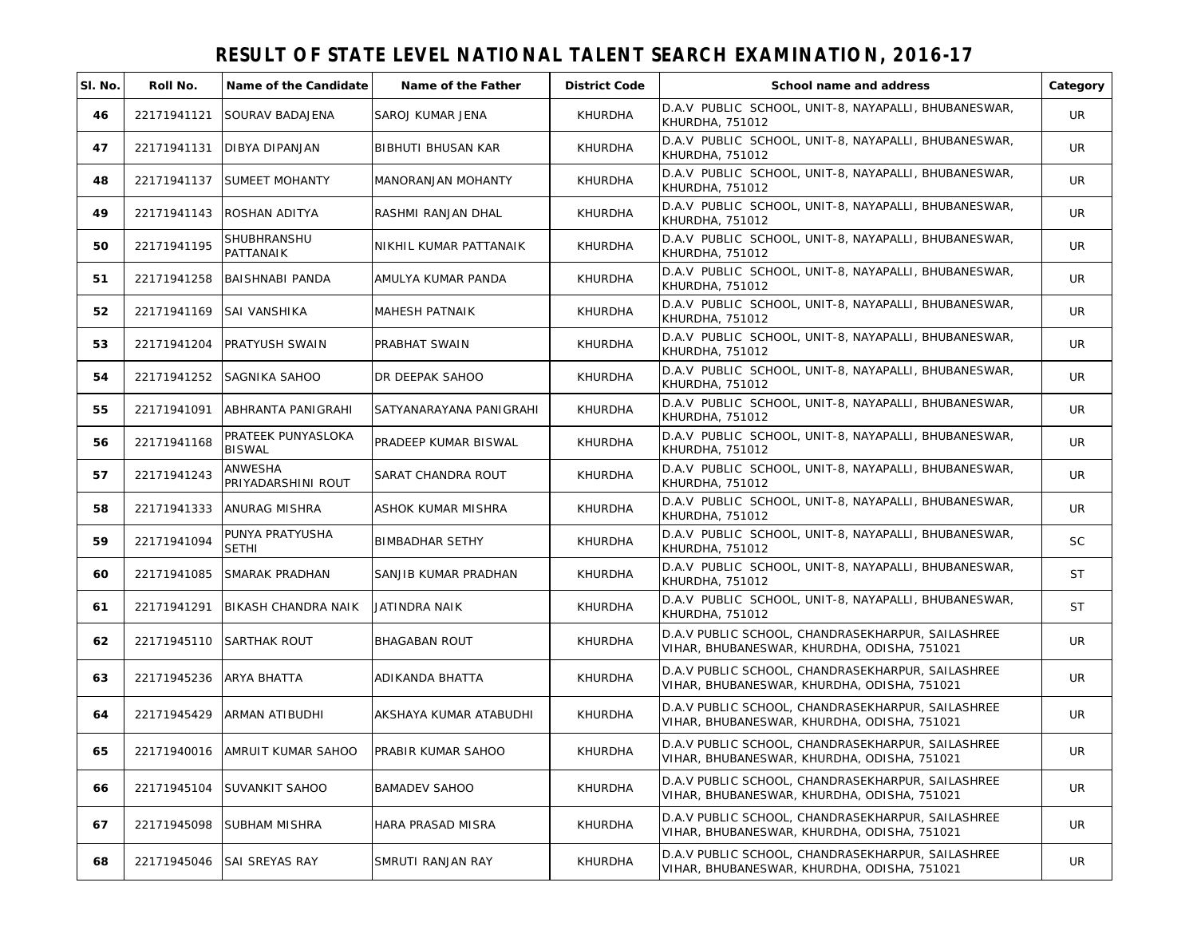| SI. No. | Roll No.    | Name of the Candidate                | Name of the Father        | <b>District Code</b> | School name and address                                                                          | Category  |
|---------|-------------|--------------------------------------|---------------------------|----------------------|--------------------------------------------------------------------------------------------------|-----------|
| 46      | 22171941121 | SOURAV BADAJENA                      | SAROJ KUMAR JENA          | <b>KHURDHA</b>       | D.A.V PUBLIC SCHOOL, UNIT-8, NAYAPALLI, BHUBANESWAR,<br><b>KHURDHA, 751012</b>                   | <b>UR</b> |
| 47      | 22171941131 | DIBYA DIPANJAN                       | BIBHUTI BHUSAN KAR        | <b>KHURDHA</b>       | D.A.V PUBLIC SCHOOL, UNIT-8, NAYAPALLI, BHUBANESWAR,<br>KHURDHA, 751012                          | UR        |
| 48      | 22171941137 | <b>SUMEET MOHANTY</b>                | <b>MANORANJAN MOHANTY</b> | <b>KHURDHA</b>       | D.A.V PUBLIC SCHOOL, UNIT-8, NAYAPALLI, BHUBANESWAR,<br>KHURDHA, 751012                          | <b>UR</b> |
| 49      | 22171941143 | ROSHAN ADITYA                        | RASHMI RANJAN DHAL        | KHURDHA              | D.A.V PUBLIC SCHOOL, UNIT-8, NAYAPALLI, BHUBANESWAR,<br>KHURDHA, 751012                          | UR        |
| 50      | 22171941195 | SHUBHRANSHU<br>PATTANAIK             | NIKHIL KUMAR PATTANAIK    | KHURDHA              | D.A.V PUBLIC SCHOOL, UNIT-8, NAYAPALLI, BHUBANESWAR,<br>KHURDHA, 751012                          | <b>UR</b> |
| 51      | 22171941258 | BAISHNABI PANDA                      | AMULYA KUMAR PANDA        | <b>KHURDHA</b>       | D.A.V PUBLIC SCHOOL, UNIT-8, NAYAPALLI, BHUBANESWAR,<br>KHURDHA, 751012                          | UR        |
| 52      | 22171941169 | SAI VANSHIKA                         | MAHESH PATNAIK            | <b>KHURDHA</b>       | D.A.V PUBLIC SCHOOL, UNIT-8, NAYAPALLI, BHUBANESWAR,<br>KHURDHA, 751012                          | UR        |
| 53      | 22171941204 | <b>PRATYUSH SWAIN</b>                | PRABHAT SWAIN             | KHURDHA              | D.A.V PUBLIC SCHOOL, UNIT-8, NAYAPALLI, BHUBANESWAR,<br>KHURDHA, 751012                          | <b>UR</b> |
| 54      | 22171941252 | SAGNIKA SAHOO                        | DR DEEPAK SAHOO           | <b>KHURDHA</b>       | D.A.V PUBLIC SCHOOL, UNIT-8, NAYAPALLI, BHUBANESWAR,<br>KHURDHA, 751012                          | UR        |
| 55      | 22171941091 | ABHRANTA PANIGRAHI                   | SATYANARAYANA PANIGRAHI   | KHURDHA              | D.A.V PUBLIC SCHOOL, UNIT-8, NAYAPALLI, BHUBANESWAR,<br>KHURDHA, 751012                          | <b>UR</b> |
| 56      | 22171941168 | PRATEEK PUNYASLOKA<br><b>BISWAL</b>  | PRADEEP KUMAR BISWAL      | <b>KHURDHA</b>       | D.A.V PUBLIC SCHOOL, UNIT-8, NAYAPALLI, BHUBANESWAR,<br>KHURDHA, 751012                          | UR        |
| 57      | 22171941243 | <b>ANWESHA</b><br>PRIYADARSHINI ROUT | SARAT CHANDRA ROUT        | <b>KHURDHA</b>       | D.A.V PUBLIC SCHOOL, UNIT-8, NAYAPALLI, BHUBANESWAR,<br>KHURDHA, 751012                          | UR        |
| 58      | 22171941333 | <b>ANURAG MISHRA</b>                 | ASHOK KUMAR MISHRA        | KHURDHA              | D.A.V PUBLIC SCHOOL, UNIT-8, NAYAPALLI, BHUBANESWAR,<br>KHURDHA, 751012                          | UR        |
| 59      | 22171941094 | PUNYA PRATYUSHA<br>Sethi             | <b>BIMBADHAR SETHY</b>    | <b>KHURDHA</b>       | D.A.V PUBLIC SCHOOL, UNIT-8, NAYAPALLI, BHUBANESWAR,<br>KHURDHA, 751012                          | <b>SC</b> |
| 60      | 22171941085 | SMARAK PRADHAN                       | SANJIB KUMAR PRADHAN      | KHURDHA              | D.A.V PUBLIC SCHOOL, UNIT-8, NAYAPALLI, BHUBANESWAR,<br>KHURDHA, 751012                          | <b>ST</b> |
| 61      | 22171941291 | <b>BIKASH CHANDRA NAIK</b>           | JATINDRA NAIK             | KHURDHA              | D.A.V PUBLIC SCHOOL, UNIT-8, NAYAPALLI, BHUBANESWAR,<br>KHURDHA, 751012                          | <b>ST</b> |
| 62      | 22171945110 | <b>SARTHAK ROUT</b>                  | <b>BHAGABAN ROUT</b>      | <b>KHURDHA</b>       | D.A.V PUBLIC SCHOOL, CHANDRASEKHARPUR, SAILASHREE<br>VIHAR, BHUBANESWAR, KHURDHA, ODISHA, 751021 | UR        |
| 63      | 22171945236 | <b>ARYA BHATTA</b>                   | ADIKANDA BHATTA           | <b>KHURDHA</b>       | D.A.V PUBLIC SCHOOL, CHANDRASEKHARPUR, SAILASHREE<br>VIHAR, BHUBANESWAR, KHURDHA, ODISHA, 751021 | UR        |
| 64      | 22171945429 | ARMAN ATIBUDHI                       | AKSHAYA KUMAR ATABUDHI    | <b>KHURDHA</b>       | D.A.V PUBLIC SCHOOL, CHANDRASEKHARPUR, SAILASHREE<br>VIHAR, BHUBANESWAR, KHURDHA, ODISHA, 751021 | UR        |
| 65      |             | 22171940016 AMRUIT KUMAR SAHOO       | PRABIR KUMAR SAHOO        | KHURDHA              | D.A.V PUBLIC SCHOOL, CHANDRASEKHARPUR, SAILASHREE<br>VIHAR, BHUBANESWAR, KHURDHA, ODISHA, 751021 | UR        |
| 66      | 22171945104 | <b>SUVANKIT SAHOO</b>                | <b>BAMADEV SAHOO</b>      | KHURDHA              | D.A.V PUBLIC SCHOOL, CHANDRASEKHARPUR, SAILASHREE<br>VIHAR, BHUBANESWAR, KHURDHA, ODISHA, 751021 | <b>UR</b> |
| 67      | 22171945098 | SUBHAM MISHRA                        | HARA PRASAD MISRA         | KHURDHA              | D.A.V PUBLIC SCHOOL, CHANDRASEKHARPUR, SAILASHREE<br>VIHAR, BHUBANESWAR, KHURDHA, ODISHA, 751021 | <b>UR</b> |
| 68      | 22171945046 | SAI SREYAS RAY                       | SMRUTI RANJAN RAY         | KHURDHA              | D.A.V PUBLIC SCHOOL, CHANDRASEKHARPUR, SAILASHREE<br>VIHAR, BHUBANESWAR, KHURDHA, ODISHA, 751021 | UR        |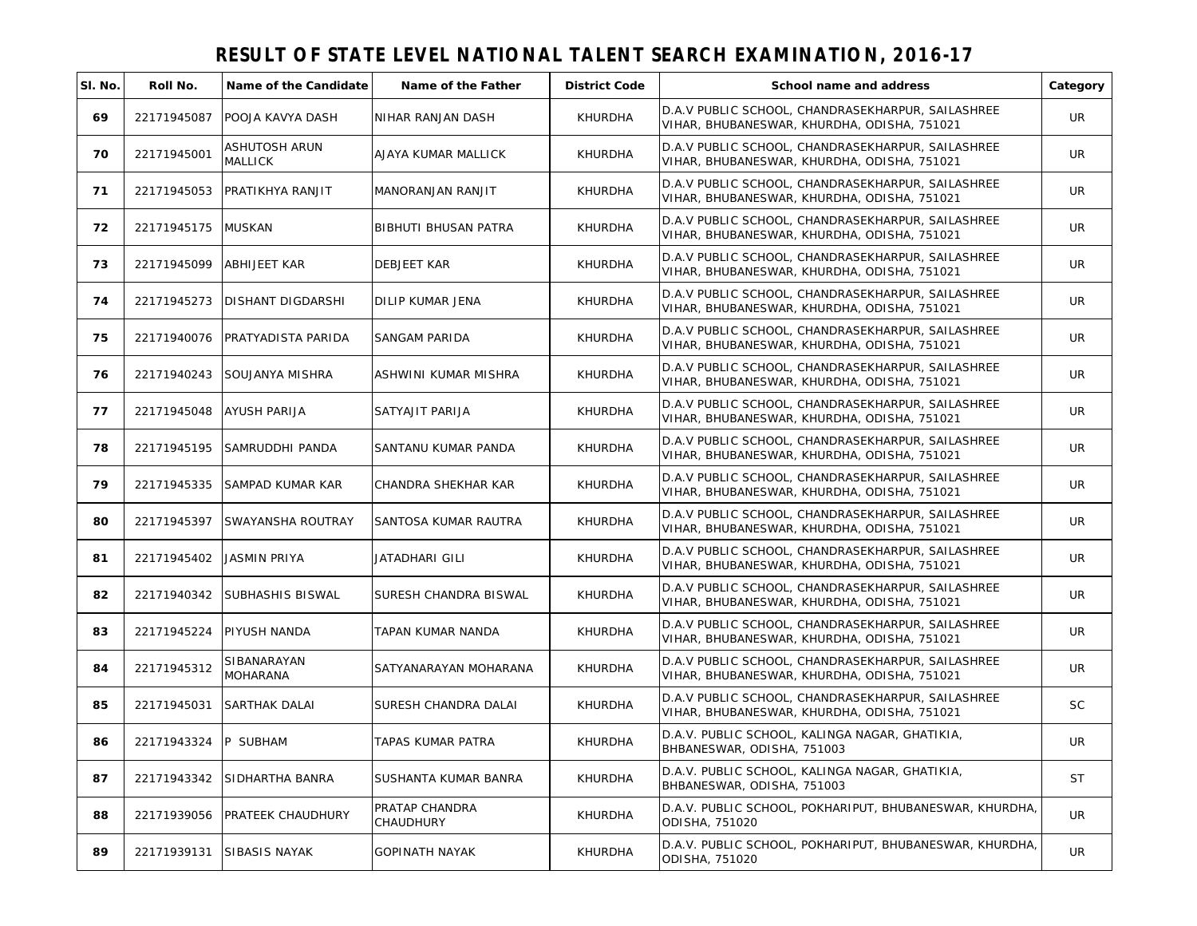| SI. No. | Roll No.             | Name of the Candidate        | Name of the Father          | <b>District Code</b> | School name and address                                                                          | Category  |
|---------|----------------------|------------------------------|-----------------------------|----------------------|--------------------------------------------------------------------------------------------------|-----------|
| 69      | 22171945087          | POOJA KAVYA DASH             | NIHAR RANJAN DASH           | <b>KHURDHA</b>       | D.A.V PUBLIC SCHOOL, CHANDRASEKHARPUR, SAILASHREE<br>VIHAR, BHUBANESWAR, KHURDHA, ODISHA, 751021 | UR        |
| 70      | 22171945001          | ASHUTOSH ARUN<br>MALLICK     | AJAYA KUMAR MALLICK         | KHURDHA              | D.A.V PUBLIC SCHOOL, CHANDRASEKHARPUR, SAILASHREE<br>VIHAR, BHUBANESWAR, KHURDHA, ODISHA, 751021 | <b>UR</b> |
| 71      |                      | 22171945053 PRATIKHYA RANJIT | MANORANJAN RANJIT           | KHURDHA              | D.A.V PUBLIC SCHOOL, CHANDRASEKHARPUR, SAILASHREE<br>VIHAR, BHUBANESWAR, KHURDHA, ODISHA, 751021 | UR        |
| 72      | 22171945175 MUSKAN   |                              | BIBHUTI BHUSAN PATRA        | KHURDHA              | D.A.V PUBLIC SCHOOL, CHANDRASEKHARPUR, SAILASHREE<br>VIHAR, BHUBANESWAR, KHURDHA, ODISHA, 751021 | UR        |
| 73      | 22171945099          | <b>ABHIJEET KAR</b>          | <b>DEBJEET KAR</b>          | KHURDHA              | D.A.V PUBLIC SCHOOL, CHANDRASEKHARPUR, SAILASHREE<br>VIHAR, BHUBANESWAR, KHURDHA, ODISHA, 751021 | UR        |
| 74      | 22171945273          | DISHANT DIGDARSHI            | <b>DILIP KUMAR JENA</b>     | <b>KHURDHA</b>       | D.A.V PUBLIC SCHOOL, CHANDRASEKHARPUR, SAILASHREE<br>VIHAR, BHUBANESWAR, KHURDHA, ODISHA, 751021 | <b>UR</b> |
| 75      | 22171940076          | PRATYADISTA PARIDA           | SANGAM PARIDA               | KHURDHA              | D.A.V PUBLIC SCHOOL, CHANDRASEKHARPUR, SAILASHREE<br>VIHAR, BHUBANESWAR, KHURDHA, ODISHA, 751021 | <b>UR</b> |
| 76      | 22171940243          | SOUJANYA MISHRA              | ASHWINI KUMAR MISHRA        | KHURDHA              | D.A.V PUBLIC SCHOOL, CHANDRASEKHARPUR, SAILASHREE<br>VIHAR, BHUBANESWAR, KHURDHA, ODISHA, 751021 | UR        |
| 77      | 22171945048          | AYUSH PARIJA                 | SATYAJIT PARIJA             | <b>KHURDHA</b>       | D.A.V PUBLIC SCHOOL, CHANDRASEKHARPUR, SAILASHREE<br>VIHAR, BHUBANESWAR, KHURDHA, ODISHA, 751021 | UR        |
| 78      | 22171945195          | SAMRUDDHI PANDA              | SANTANU KUMAR PANDA         | KHURDHA              | D.A.V PUBLIC SCHOOL, CHANDRASEKHARPUR, SAILASHREE<br>VIHAR, BHUBANESWAR, KHURDHA, ODISHA, 751021 | UR        |
| 79      | 22171945335          | SAMPAD KUMAR KAR             | CHANDRA SHEKHAR KAR         | <b>KHURDHA</b>       | D.A.V PUBLIC SCHOOL, CHANDRASEKHARPUR, SAILASHREE<br>VIHAR, BHUBANESWAR, KHURDHA, ODISHA, 751021 | UR        |
| 80      | 22171945397          | SWAYANSHA ROUTRAY            | SANTOSA KUMAR RAUTRA        | KHURDHA              | D.A.V PUBLIC SCHOOL, CHANDRASEKHARPUR, SAILASHREE<br>VIHAR, BHUBANESWAR, KHURDHA, ODISHA, 751021 | <b>UR</b> |
| 81      | 22171945402          | <b>JASMIN PRIYA</b>          | JATADHARI GILI              | KHURDHA              | D.A.V PUBLIC SCHOOL, CHANDRASEKHARPUR, SAILASHREE<br>VIHAR, BHUBANESWAR, KHURDHA, ODISHA, 751021 | UR        |
| 82      | 22171940342          | SUBHASHIS BISWAL             | SURESH CHANDRA BISWAL       | <b>KHURDHA</b>       | D.A.V PUBLIC SCHOOL, CHANDRASEKHARPUR, SAILASHREE<br>VIHAR, BHUBANESWAR, KHURDHA, ODISHA, 751021 | UR        |
| 83      | 22171945224          | PIYUSH NANDA                 | TAPAN KUMAR NANDA           | <b>KHURDHA</b>       | D.A.V PUBLIC SCHOOL, CHANDRASEKHARPUR, SAILASHREE<br>VIHAR, BHUBANESWAR, KHURDHA, ODISHA, 751021 | UR        |
| 84      | 22171945312          | SIBANARAYAN<br>MOHARANA      | SATYANARAYAN MOHARANA       | <b>KHURDHA</b>       | D.A.V PUBLIC SCHOOL, CHANDRASEKHARPUR, SAILASHREE<br>VIHAR, BHUBANESWAR, KHURDHA, ODISHA, 751021 | UR        |
| 85      | 22171945031          | <b>SARTHAK DALAI</b>         | SURESH CHANDRA DALAI        | <b>KHURDHA</b>       | D.A.V PUBLIC SCHOOL, CHANDRASEKHARPUR, SAILASHREE<br>VIHAR, BHUBANESWAR, KHURDHA, ODISHA, 751021 | <b>SC</b> |
| 86      | 22171943324 P SUBHAM |                              | TAPAS KUMAR PATRA           | KHURDHA              | D.A.V. PUBLIC SCHOOL, KALINGA NAGAR, GHATIKIA,<br>BHBANESWAR, ODISHA, 751003                     | UR        |
| 87      | 22171943342          | SIDHARTHA BANRA              | SUSHANTA KUMAR BANRA        | <b>KHURDHA</b>       | D.A.V. PUBLIC SCHOOL, KALINGA NAGAR, GHATIKIA,<br>BHBANESWAR, ODISHA, 751003                     | <b>ST</b> |
| 88      | 22171939056          | PRATEEK CHAUDHURY            | PRATAP CHANDRA<br>CHAUDHURY | <b>KHURDHA</b>       | D.A.V. PUBLIC SCHOOL, POKHARIPUT, BHUBANESWAR, KHURDHA,<br>ODISHA, 751020                        | UR.       |
| 89      | 22171939131          | <b>SIBASIS NAYAK</b>         | <b>GOPINATH NAYAK</b>       | <b>KHURDHA</b>       | ID.A.V. PUBLIC SCHOOL. POKHARIPUT. BHUBANESWAR. KHURDHA.<br>ODISHA, 751020                       | UR.       |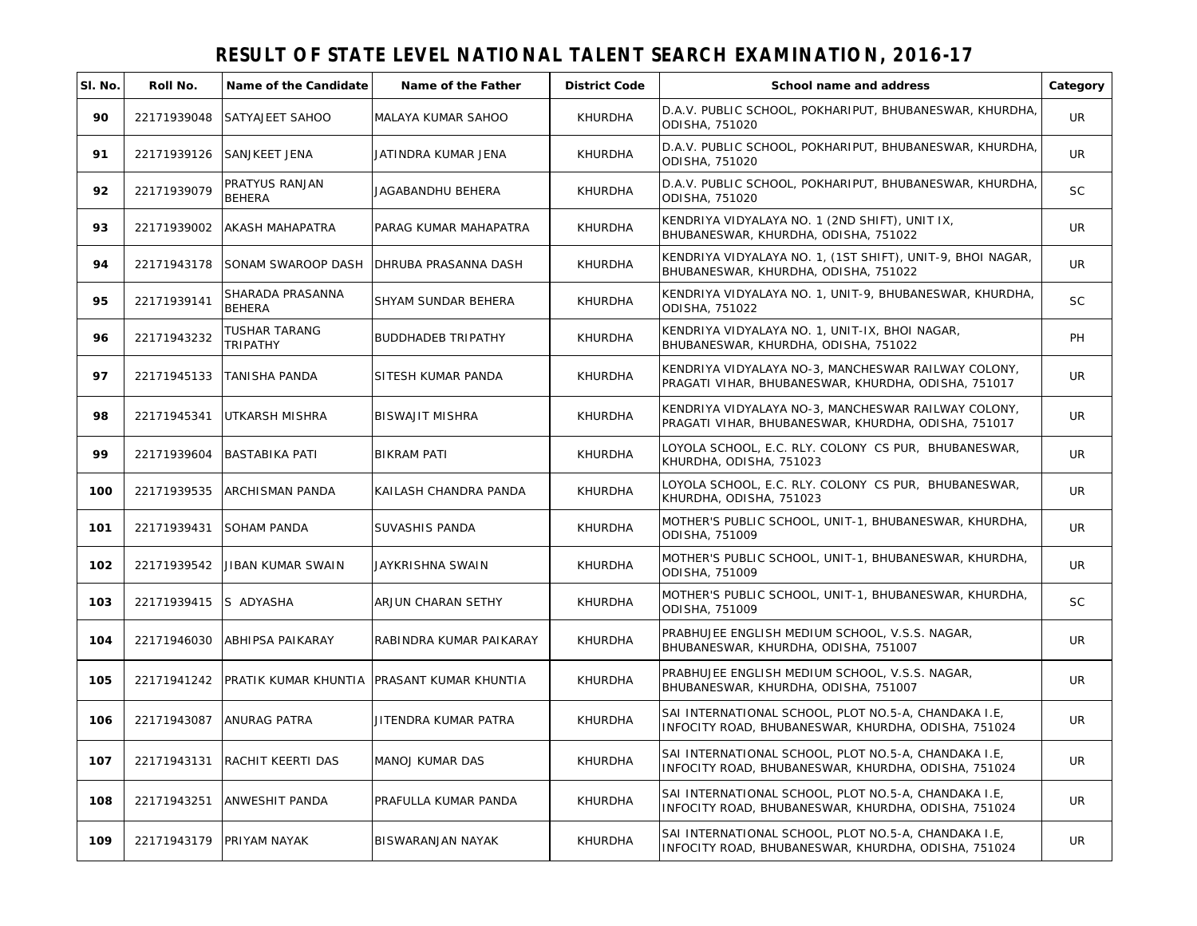| SI. No. | Roll No.    | Name of the Candidate             | Name of the Father                         | <b>District Code</b> | School name and address                                                                                     | Category  |
|---------|-------------|-----------------------------------|--------------------------------------------|----------------------|-------------------------------------------------------------------------------------------------------------|-----------|
| 90      | 22171939048 | SATYAJEET SAHOO                   | IMALAYA KUMAR SAHOO                        | <b>KHURDHA</b>       | D.A.V. PUBLIC SCHOOL, POKHARIPUT, BHUBANESWAR, KHURDHA,<br>ODISHA, 751020                                   | <b>UR</b> |
| 91      | 22171939126 | <b>SANJKEET JENA</b>              | JATINDRA KUMAR JENA                        | <b>KHURDHA</b>       | D.A.V. PUBLIC SCHOOL, POKHARIPUT, BHUBANESWAR, KHURDHA,<br>ODISHA, 751020                                   | <b>UR</b> |
| 92      | 22171939079 | PRATYUS RANJAN<br><b>BEHERA</b>   | JAGABANDHU BEHERA                          | KHURDHA              | D.A.V. PUBLIC SCHOOL, POKHARIPUT, BHUBANESWAR, KHURDHA,<br>ODISHA, 751020                                   | <b>SC</b> |
| 93      | 22171939002 | AKASH MAHAPATRA                   | <b>IPARAG KUMAR MAHAPATRA</b>              | <b>KHURDHA</b>       | KENDRIYA VIDYALAYA NO. 1 (2ND SHIFT), UNIT IX,<br>BHUBANESWAR, KHURDHA, ODISHA, 751022                      | <b>UR</b> |
| 94      | 22171943178 | SONAM SWAROOP DASH                | <b>DHRUBA PRASANNA DASH</b>                | <b>KHURDHA</b>       | KENDRIYA VIDYALAYA NO. 1, (1ST SHIFT), UNIT-9, BHOI NAGAR,<br>BHUBANESWAR, KHURDHA, ODISHA, 751022          | <b>UR</b> |
| 95      | 22171939141 | SHARADA PRASANNA<br><b>BEHERA</b> | <b>SHYAM SUNDAR BEHERA</b>                 | <b>KHURDHA</b>       | KENDRIYA VIDYALAYA NO. 1, UNIT-9, BHUBANESWAR, KHURDHA,<br>ODISHA, 751022                                   | <b>SC</b> |
| 96      | 22171943232 | <b>TUSHAR TARANG</b><br>TRIPATHY  | <b>BUDDHADEB TRIPATHY</b>                  | KHURDHA              | KENDRIYA VIDYALAYA NO. 1, UNIT-IX, BHOI NAGAR,<br>BHUBANESWAR, KHURDHA, ODISHA, 751022                      | PH        |
| 97      | 22171945133 | TANISHA PANDA                     | SITESH KUMAR PANDA                         | KHURDHA              | KENDRIYA VIDYALAYA NO-3, MANCHESWAR RAILWAY COLONY,<br>PRAGATI VIHAR, BHUBANESWAR, KHURDHA, ODISHA, 751017  | UR        |
| 98      | 22171945341 | UTKARSH MISHRA                    | <b>BISWAJIT MISHRA</b>                     | KHURDHA              | KENDRIYA VIDYALAYA NO-3, MANCHESWAR RAILWAY COLONY,<br>PRAGATI VIHAR, BHUBANESWAR, KHURDHA, ODISHA, 751017  | <b>UR</b> |
| 99      | 22171939604 | <b>BASTABIKA PATI</b>             | <b>BIKRAM PATI</b>                         | KHURDHA              | LOYOLA SCHOOL, E.C. RLY. COLONY CS PUR, BHUBANESWAR,<br>KHURDHA, ODISHA, 751023                             | <b>UR</b> |
| 100     | 22171939535 | <b>ARCHISMAN PANDA</b>            | KAILASH CHANDRA PANDA                      | <b>KHURDHA</b>       | LOYOLA SCHOOL, E.C. RLY. COLONY CS PUR, BHUBANESWAR,<br>KHURDHA, ODISHA, 751023                             | UR        |
| 101     | 22171939431 | <b>SOHAM PANDA</b>                | <b>SUVASHIS PANDA</b>                      | KHURDHA              | MOTHER'S PUBLIC SCHOOL, UNIT-1, BHUBANESWAR, KHURDHA,<br>ODISHA, 751009                                     | <b>UR</b> |
| 102     | 22171939542 | JIBAN KUMAR SWAIN                 | JAYKRISHNA SWAIN                           | KHURDHA              | MOTHER'S PUBLIC SCHOOL, UNIT-1, BHUBANESWAR, KHURDHA,<br>ODISHA, 751009                                     | <b>UR</b> |
| 103     | 22171939415 | S ADYASHA                         | ARJUN CHARAN SETHY                         | <b>KHURDHA</b>       | MOTHER'S PUBLIC SCHOOL, UNIT-1, BHUBANESWAR, KHURDHA,<br>ODISHA, 751009                                     | <b>SC</b> |
| 104     | 22171946030 | <b>ABHIPSA PAIKARAY</b>           | RABINDRA KUMAR PAIKARAY                    | <b>KHURDHA</b>       | PRABHUJEE ENGLISH MEDIUM SCHOOL, V.S.S. NAGAR,<br>BHUBANESWAR, KHURDHA, ODISHA, 751007                      | <b>UR</b> |
| 105     | 22171941242 |                                   | PRATIK KUMAR KHUNTIA PRASANT KUMAR KHUNTIA | KHURDHA              | PRABHUJEE ENGLISH MEDIUM SCHOOL, V.S.S. NAGAR,<br>BHUBANESWAR, KHURDHA, ODISHA, 751007                      | <b>UR</b> |
| 106     | 22171943087 | ANURAG PATRA                      | JITENDRA KUMAR PATRA                       | KHURDHA              | SAI INTERNATIONAL SCHOOL, PLOT NO.5-A, CHANDAKA I.E,<br>INFOCITY ROAD, BHUBANESWAR, KHURDHA, ODISHA, 751024 | UR        |
| 107     | 22171943131 | RACHIT KEERTI DAS                 | <b>MANOJ KUMAR DAS</b>                     | <b>KHURDHA</b>       | SAI INTERNATIONAL SCHOOL, PLOT NO.5-A, CHANDAKA I.E,<br>INFOCITY ROAD, BHUBANESWAR, KHURDHA, ODISHA, 751024 | <b>UR</b> |
| 108     | 22171943251 | <b>ANWESHIT PANDA</b>             | PRAFULLA KUMAR PANDA                       | <b>KHURDHA</b>       | SAI INTERNATIONAL SCHOOL, PLOT NO.5-A, CHANDAKA I.E,<br>INFOCITY ROAD, BHUBANESWAR, KHURDHA, ODISHA, 751024 | <b>UR</b> |
| 109     |             | 22171943179 PRIYAM NAYAK          | <b>BISWARANJAN NAYAK</b>                   | <b>KHURDHA</b>       | SAI INTERNATIONAL SCHOOL, PLOT NO.5-A, CHANDAKA I.E,<br>INFOCITY ROAD, BHUBANESWAR, KHURDHA, ODISHA, 751024 | <b>UR</b> |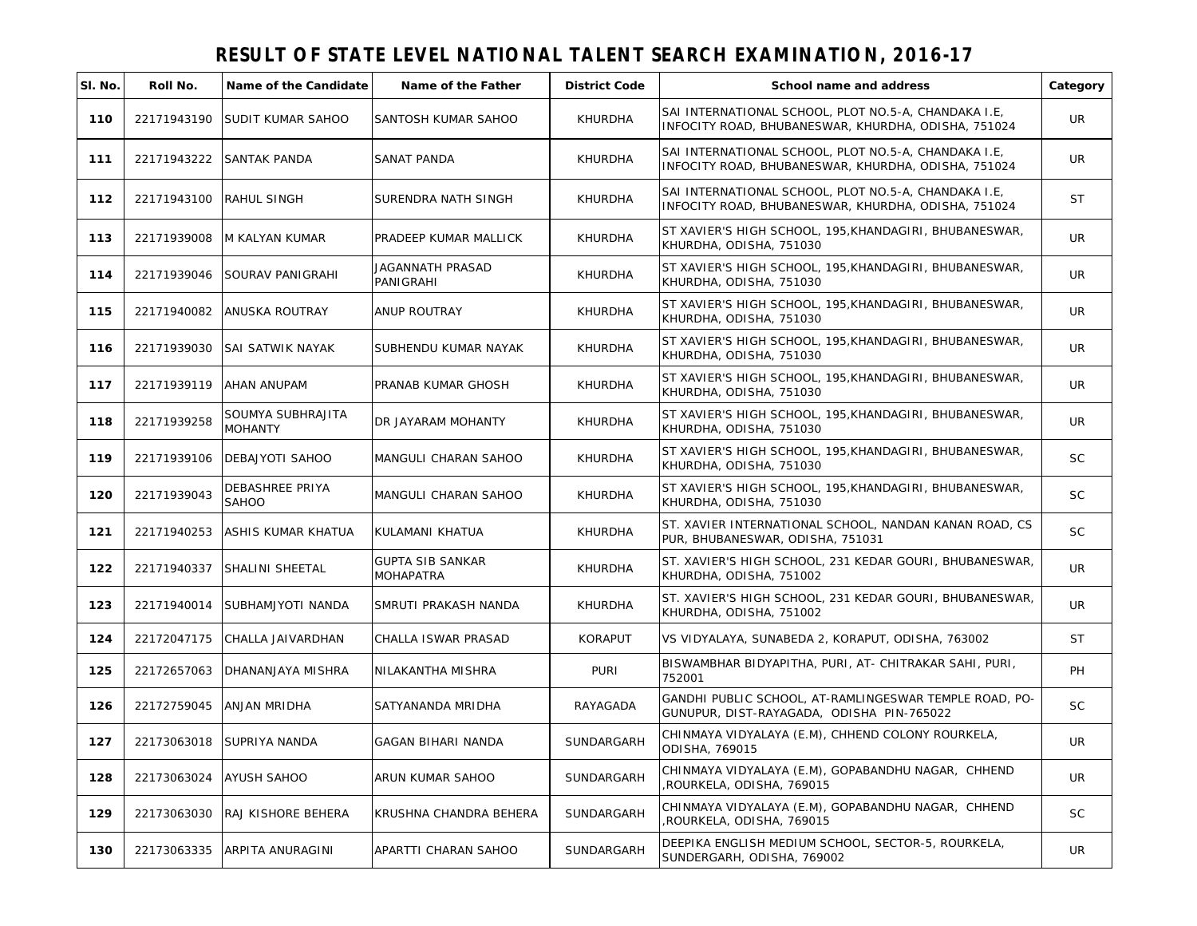| SI. No. | Roll No.                | Name of the Candidate        | Name of the Father                   | <b>District Code</b> | School name and address                                                                                     | Category  |
|---------|-------------------------|------------------------------|--------------------------------------|----------------------|-------------------------------------------------------------------------------------------------------------|-----------|
| 110     | 22171943190             | SUDIT KUMAR SAHOO            | SANTOSH KUMAR SAHOO                  | KHURDHA              | SAI INTERNATIONAL SCHOOL, PLOT NO.5-A, CHANDAKA I.E,<br>INFOCITY ROAD, BHUBANESWAR, KHURDHA, ODISHA, 751024 | UR        |
| 111     | 22171943222             | SANTAK PANDA                 | SANAT PANDA                          | KHURDHA              | SAI INTERNATIONAL SCHOOL, PLOT NO.5-A, CHANDAKA I.E,<br>INFOCITY ROAD, BHUBANESWAR, KHURDHA, ODISHA, 751024 | <b>UR</b> |
| 112     | 22171943100 RAHUL SINGH |                              | <b>SURENDRA NATH SINGH</b>           | <b>KHURDHA</b>       | SAI INTERNATIONAL SCHOOL, PLOT NO.5-A, CHANDAKA I.E,<br>INFOCITY ROAD, BHUBANESWAR, KHURDHA, ODISHA, 751024 | ST        |
| 113     | 22171939008             | <b>M KALYAN KUMAR</b>        | PRADEEP KUMAR MALLICK                | <b>KHURDHA</b>       | ST XAVIER'S HIGH SCHOOL, 195, KHANDAGIRI, BHUBANESWAR,<br>KHURDHA, ODISHA, 751030                           | <b>UR</b> |
| 114     | 22171939046             | SOURAV PANIGRAHI             | <b>JAGANNATH PRASAD</b><br>PANIGRAHI | <b>KHURDHA</b>       | ST XAVIER'S HIGH SCHOOL, 195, KHANDAGIRI, BHUBANESWAR,<br>KHURDHA, ODISHA, 751030                           | <b>UR</b> |
| 115     | 22171940082             | ANUSKA ROUTRAY               | <b>ANUP ROUTRAY</b>                  | <b>KHURDHA</b>       | ST XAVIER'S HIGH SCHOOL, 195, KHANDAGIRI, BHUBANESWAR,<br>KHURDHA, ODISHA, 751030                           | <b>UR</b> |
| 116     | 22171939030             | SAI SATWIK NAYAK             | SUBHENDU KUMAR NAYAK                 | <b>KHURDHA</b>       | ST XAVIER'S HIGH SCHOOL, 195, KHANDAGIRI, BHUBANESWAR,<br>KHURDHA, ODISHA, 751030                           | UR.       |
| 117     | 22171939119             | AHAN ANUPAM                  | PRANAB KUMAR GHOSH                   | <b>KHURDHA</b>       | ST XAVIER'S HIGH SCHOOL, 195, KHANDAGIRI, BHUBANESWAR,<br>KHURDHA, ODISHA, 751030                           | UR.       |
| 118     | 22171939258             | SOUMYA SUBHRAJITA<br>MOHANTY | DR JAYARAM MOHANTY                   | <b>KHURDHA</b>       | ST XAVIER'S HIGH SCHOOL, 195, KHANDAGIRI, BHUBANESWAR,<br>KHURDHA, ODISHA, 751030                           | UR        |
| 119     | 22171939106             | DEBAJYOTI SAHOO              | MANGULI CHARAN SAHOO                 | <b>KHURDHA</b>       | ST XAVIER'S HIGH SCHOOL, 195, KHANDAGIRI, BHUBANESWAR,<br>KHURDHA, ODISHA, 751030                           | <b>SC</b> |
| 120     | 22171939043             | DEBASHREE PRIYA<br>SAHOO     | MANGULI CHARAN SAHOO                 | <b>KHURDHA</b>       | ST XAVIER'S HIGH SCHOOL, 195, KHANDAGIRI, BHUBANESWAR,<br>KHURDHA, ODISHA, 751030                           | <b>SC</b> |
| 121     | 22171940253             | ASHIS KUMAR KHATUA           | KULAMANI KHATUA                      | KHURDHA              | ST. XAVIER INTERNATIONAL SCHOOL, NANDAN KANAN ROAD, CS<br>PUR, BHUBANESWAR, ODISHA, 751031                  | <b>SC</b> |
| 122     | 22171940337             | SHALINI SHEETAL              | <b>GUPTA SIB SANKAR</b><br>MOHAPATRA | KHURDHA              | ST. XAVIER'S HIGH SCHOOL, 231 KEDAR GOURI, BHUBANESWAR,<br>KHURDHA, ODISHA, 751002                          | UR        |
| 123     | 22171940014             | SUBHAMJYOTI NANDA            | SMRUTI PRAKASH NANDA                 | <b>KHURDHA</b>       | ST. XAVIER'S HIGH SCHOOL, 231 KEDAR GOURI, BHUBANESWAR,<br>KHURDHA, ODISHA, 751002                          | UR        |
| 124     | 22172047175             | CHALLA JAIVARDHAN            | CHALLA ISWAR PRASAD                  | <b>KORAPUT</b>       | VS VIDYALAYA, SUNABEDA 2, KORAPUT, ODISHA, 763002                                                           | ST        |
| 125     | 22172657063             | DHANANJAYA MISHRA            | NILAKANTHA MISHRA                    | <b>PURI</b>          | BISWAMBHAR BIDYAPITHA, PURI, AT- CHITRAKAR SAHI, PURI,<br>752001                                            | PH        |
| 126     | 22172759045             | ANJAN MRIDHA                 | SATYANANDA MRIDHA                    | RAYAGADA             | GANDHI PUBLIC SCHOOL, AT-RAMLINGESWAR TEMPLE ROAD, PO-<br>GUNUPUR, DIST-RAYAGADA, ODISHA PIN-765022         | <b>SC</b> |
| 127     |                         | 22173063018 SUPRIYA NANDA    | <b>GAGAN BIHARI NANDA</b>            | SUNDARGARH           | CHINMAYA VIDYALAYA (E.M), CHHEND COLONY ROURKELA,<br>ODISHA, 769015                                         | <b>UR</b> |
| 128     | 22173063024             | <b>AYUSH SAHOO</b>           | ARUN KUMAR SAHOO                     | SUNDARGARH           | CHINMAYA VIDYALAYA (E.M), GOPABANDHU NAGAR, CHHEND<br>ROURKELA, ODISHA, 769015                              | <b>UR</b> |
| 129     | 22173063030             | RAJ KISHORE BEHERA           | KRUSHNA CHANDRA BEHERA               | SUNDARGARH           | CHINMAYA VIDYALAYA (E.M), GOPABANDHU NAGAR, CHHEND<br>ROURKELA, ODISHA, 769015                              | <b>SC</b> |
| 130     | 22173063335             | ARPITA ANURAGINI             | APARTTI CHARAN SAHOO                 | SUNDARGARH           | DEEPIKA ENGLISH MEDIUM SCHOOL, SECTOR-5, ROURKELA,<br>SUNDERGARH, ODISHA, 769002                            | UR        |